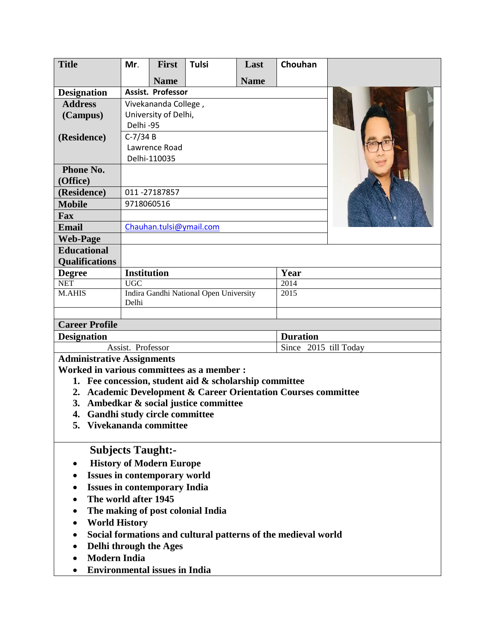| <b>Title</b>                                                                 | Mr.                                             | <b>First</b> | <b>Tulsi</b> | Last        | Chouhan                                                       |  |  |
|------------------------------------------------------------------------------|-------------------------------------------------|--------------|--------------|-------------|---------------------------------------------------------------|--|--|
|                                                                              |                                                 | <b>Name</b>  |              | <b>Name</b> |                                                               |  |  |
| <b>Designation</b>                                                           | Assist. Professor                               |              |              |             |                                                               |  |  |
| <b>Address</b>                                                               | Vivekananda College,                            |              |              |             |                                                               |  |  |
| (Campus)                                                                     | University of Delhi,                            |              |              |             |                                                               |  |  |
|                                                                              | Delhi-95                                        |              |              |             |                                                               |  |  |
| (Residence)                                                                  | $C-7/34B$                                       |              |              |             |                                                               |  |  |
|                                                                              | Lawrence Road                                   |              |              |             |                                                               |  |  |
|                                                                              | Delhi-110035                                    |              |              |             |                                                               |  |  |
| Phone No.<br>(Office)                                                        |                                                 |              |              |             |                                                               |  |  |
| (Residence)                                                                  | 011-27187857                                    |              |              |             |                                                               |  |  |
| <b>Mobile</b>                                                                | 9718060516                                      |              |              |             |                                                               |  |  |
| Fax                                                                          |                                                 |              |              |             |                                                               |  |  |
| <b>Email</b>                                                                 | Chauhan.tulsi@ymail.com                         |              |              |             |                                                               |  |  |
| <b>Web-Page</b>                                                              |                                                 |              |              |             |                                                               |  |  |
| <b>Educational</b>                                                           |                                                 |              |              |             |                                                               |  |  |
| <b>Qualifications</b>                                                        |                                                 |              |              |             |                                                               |  |  |
| <b>Degree</b>                                                                | <b>Institution</b>                              |              |              |             | Year                                                          |  |  |
| <b>NET</b>                                                                   | <b>UGC</b>                                      |              |              |             | 2014                                                          |  |  |
| <b>M.AHIS</b>                                                                | Indira Gandhi National Open University<br>Delhi |              |              |             | 2015                                                          |  |  |
|                                                                              |                                                 |              |              |             |                                                               |  |  |
| <b>Career Profile</b><br><b>Designation</b><br><b>Duration</b>               |                                                 |              |              |             |                                                               |  |  |
| Assist. Professor                                                            |                                                 |              |              |             | Since 2015 till Today                                         |  |  |
| <b>Administrative Assignments</b>                                            |                                                 |              |              |             |                                                               |  |  |
| Worked in various committees as a member :                                   |                                                 |              |              |             |                                                               |  |  |
| 1. Fee concession, student aid $\&$ scholarship committee                    |                                                 |              |              |             |                                                               |  |  |
| <b>Academic Development &amp; Career Orientation Courses committee</b><br>2. |                                                 |              |              |             |                                                               |  |  |
| Ambedkar & social justice committee<br>3.                                    |                                                 |              |              |             |                                                               |  |  |
| 4. Gandhi study circle committee                                             |                                                 |              |              |             |                                                               |  |  |
| 5. Vivekananda committee                                                     |                                                 |              |              |             |                                                               |  |  |
|                                                                              |                                                 |              |              |             |                                                               |  |  |
| <b>Subjects Taught:-</b>                                                     |                                                 |              |              |             |                                                               |  |  |
| <b>History of Modern Europe</b>                                              |                                                 |              |              |             |                                                               |  |  |
| <b>Issues in contemporary world</b>                                          |                                                 |              |              |             |                                                               |  |  |
| <b>Issues in contemporary India</b>                                          |                                                 |              |              |             |                                                               |  |  |
| The world after 1945                                                         |                                                 |              |              |             |                                                               |  |  |
| The making of post colonial India                                            |                                                 |              |              |             |                                                               |  |  |
| <b>World History</b>                                                         |                                                 |              |              |             |                                                               |  |  |
|                                                                              |                                                 |              |              |             | Social formations and cultural patterns of the medieval world |  |  |
| Delhi through the Ages                                                       |                                                 |              |              |             |                                                               |  |  |
| Modoun Indio                                                                 |                                                 |              |              |             |                                                               |  |  |

- **Modern India**
- **Environmental issues in India**